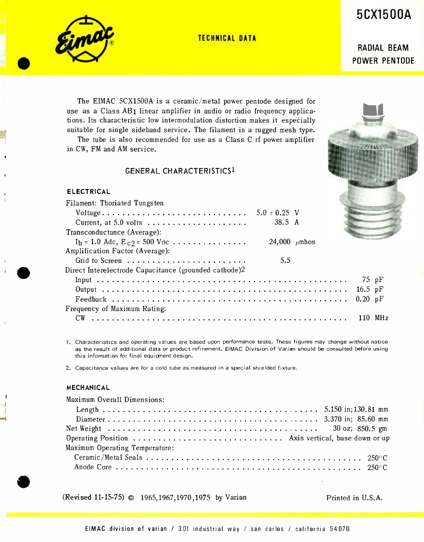5CX1500A

TECHNICAL DATA



RADIAL BEAM POWER PENTODE

The EIMAC 5CX1500A is a ceramic /metal power pentode designed for use as a Class AB1 linear amplifier in audio or radio frequency applications. Its characteristic low intermodulation distortion makes it especially suitable for single sideband service. The filament is a rugged mesh type.

The tube is also recommended for use as a Class C rf power amplifier in CW, FM and AM service.

# GENERAL CHARACTERISTICS1

#### ELECTRICAL

| Filament: Thoriated Tungsten                                      |                   |           |  |
|-------------------------------------------------------------------|-------------------|-----------|--|
|                                                                   |                   |           |  |
| Current, at 5.0 volts $\dots \dots \dots \dots \dots \dots \dots$ | 38.5 A            |           |  |
| Transconductance (Average):                                       |                   |           |  |
| $I_b = 1.0$ Adc, $E_{c2} = 500$ Vdc                               | 24,000 $\mu$ mhos |           |  |
| Amplification Factor (Average):                                   |                   |           |  |
|                                                                   | 5.5               |           |  |
| Direct Interelectrode Capacitance (grounded cathode)2             |                   |           |  |
|                                                                   |                   | $75$ pF   |  |
|                                                                   |                   | 16.5 $pF$ |  |
|                                                                   |                   |           |  |
| Frequency of Maximum Rating:                                      |                   |           |  |
|                                                                   |                   |           |  |

1. Characteristics and operating values are based upon performance tests. These figures may change without notice as the result of additional data or product refinement. EIMAC Division of Varian should be consulted before using this information for final equipment design.

2. Capacitance values are for a cold tube as measured in a special shielded fixture.

## MECHANICAL

Maximum Overall Dimensions: Length .. 5.150 in;130.81 mm Diameter 3.370 in; 85.60 mm Net Weight 30 oz; 850.5 gm Operating Position Axis vertical, base down or up Maximum Operating Temperature: Ceramic /Metal Seals 250 °C Anode Core 250° <sup>C</sup>

(Revised 11-15-75) © 1965,1967,1970,1975 by Varian Printed in U.S.A.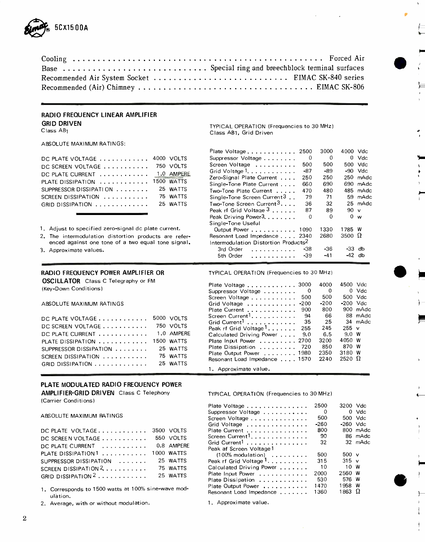

| Recommended Air System Socket  EIMAC SK-840 series |  |
|----------------------------------------------------|--|
|                                                    |  |

#### RADIO FREQUENCY LINEAR AMPLIFIER GRID DRIVEN

Class AB1

ABSOLUTE MAXIMUM RATINGS:

| DC PLATE VOLTAGE 4000 VOLTS                    |          |
|------------------------------------------------|----------|
| DC SCREEN VOLTAGE 750 VOLTS                    |          |
| DC PLATE CURRENT 1.0 AMPERE                    |          |
| PLATE DISSIPATION  1500 WATTS                  |          |
| SUPPRESSOR DISSIPATION                         | 25 WATTS |
| SCREEN DISSIPATION                             | 75 WATTS |
| GRID DISSIPATION $\ldots \ldots \ldots \ldots$ | 25 WATTS |
|                                                |          |

#### RADIO FREQUENCY POWER AMPLIFIER OR

OSCILLATOR Class C Telegraphy or FM (Key -Down Conditions)

ABSOLUTE MAXIMUM RATINGS

| DC PLATE VOLTAGE $\ldots \ldots \ldots \ldots$ | 5000 VOLTS |
|------------------------------------------------|------------|
| DC SCREEN VOLTAGE                              | 750 VOLTS  |
| DC PLATE CURRENT $\ldots \ldots \ldots$        | 1.0 AMPERE |
| PLATE DISSIPATION                              | 1500 WATTS |
| SUPPRESSOR DISSIPATION                         | 25 WATTS   |
| SCREEN DISSIPATION                             | 75 WATTS   |
| GRID DISSIPATION                               | 25 WATTS   |
|                                                |            |

## PLATE MODULATED RADIO FREQUENCY POWER

AMPLIFIER-GRID DRIVEN Class C Telephony (Carrier Conditions)

ABSOLUTE MAXIMUM RATINGS

| DC PLATE VOLTAGE 3500 VOLTS                  |            |
|----------------------------------------------|------------|
| DC SCREEN VOLTAGE 550 VOLTS                  |            |
| DC PLATE CURRENT $\ldots \ldots \ldots$      | 0.8 AMPERE |
| PLATE DISSIPATION1  1000 WATTS               |            |
| SUPPRESSOR DISSIPATION $\ldots$              | 25 WATTS   |
| SCREEN DISSIPATION $2, \ldots, \ldots,$      | 75 WATTS   |
| GRID DISSIPATION $2, \ldots, \ldots, \ldots$ | 25 WATTS   |

1. Corresponds to 1500 watts at 100% sine-wave modulation.

2. Average, with or without modulation.

TYPICAL OPERATION (Frequencies to 30 MHz) Class AB1, Grid Driven

|                                                       |            | Plate Voltage 2500                               |          | 3000     | 4000 Vdc         |            |  |
|-------------------------------------------------------|------------|--------------------------------------------------|----------|----------|------------------|------------|--|
| $DC$ PLATE VOLTAGE $\ldots \ldots \ldots \ldots$      | 4000 VOLTS | Suppressor Voltage                               | $\Omega$ | $\Omega$ |                  | $0$ Vdc    |  |
| $DC$ SCREEN VOLTAGE $\ldots \ldots \ldots$            | 750 VOLTS  | Screen Voltage                                   | 500      | 500      |                  | 500 Vdc    |  |
| DC PLATE CURRENT $\; \ldots \; \ldots \; \ldots \;$   | 1.0 AMPERE | Grid Voltage 1.                                  | -87      | -89      |                  | $-90$ Vdc  |  |
|                                                       |            | Zero-Signal Plate Current                        | 250      | 250      |                  | $250$ mAdc |  |
| PLATE DISSIPATION $\dots\dots\dots\dots$              | 1500 WATTS | Single-Tone Plate Current                        | 660      | 690      |                  | 690 mAdc   |  |
| SUPPRESSOR DISSIPATION                                | 25 WATTS   | Two-Tone Plate Current                           | 470      | 480      |                  | 485 mAdc   |  |
| SCREEN DISSIPATION $\ldots \ldots \ldots$             | 75 WATTS   | Single-Tone Screen Current $3$ .                 | 79       | 71       |                  | 59 mAdc    |  |
| GRID DISSIPATION $\dots\dots\dots\dots$               | 25 WATTS   | Two-Tone Screen Current <sup>3</sup>             | 36       | 32       |                  | 25 mAdc    |  |
|                                                       |            | Peak rf Grid Voltage $3, \ldots,$                | 87       | 89       | $90\;\mathsf{v}$ |            |  |
|                                                       |            | Peak Driving Power <sup>3</sup> .                | $\Omega$ | $\Omega$ | 0 <sub>w</sub>   |            |  |
|                                                       |            | Single-Tone Useful                               |          |          |                  |            |  |
| Adjust to specified zero-signal dc plate current.     |            | Output Power 1090                                |          | 1330     | 1785 W           |            |  |
| 2. The intermodulation distortion products are refer- |            | Resonant Load Impedance 2340                     |          | 2680     | 3500 $\Omega$    |            |  |
| enced against one tone of a two equal tone signal.    |            | Intermodulation Distortion Products <sup>2</sup> |          |          |                  |            |  |
| 3. Approximate values.                                |            | 3rd Order<br>.                                   | -38      | -36      | $-33$ db         |            |  |
|                                                       |            | 5th Order                                        | $-39$    | $-41$    | $-42$ db         |            |  |
|                                                       |            |                                                  |          |          |                  |            |  |

TYPICAL OPERATION (Frequencies to 30 MHz)

| Plate Voltage $\ldots \ldots \ldots$ 3000<br>Suppressor Voltage<br>Screen Voltage<br>Grid Voltage $\dots \dots \dots \dots$ -200<br>Plate Current<br>Screen Current <sup>1</sup><br>Grid Current <sup>1</sup><br>Peak rf Grid Voltage <sup>1</sup> | 0<br>500<br>900<br>94<br>- 35<br>255 | 4000<br>0<br>500<br>$-200$<br>800<br>66<br>25<br>245 | 4500 Vdc<br>$-200$ Vdc<br>$255 \text{ v}$           | $0$ Vdc<br>500 Vdc<br>900 mAdc<br>88 mAdc<br>34 mAdc |
|----------------------------------------------------------------------------------------------------------------------------------------------------------------------------------------------------------------------------------------------------|--------------------------------------|------------------------------------------------------|-----------------------------------------------------|------------------------------------------------------|
| Calculated Driving Power<br>Plate Input Power 2700<br>Plate Dissipation<br>Plate Output Power 1980<br>Resonant Load Impedance , 1570                                                                                                               | 9.0<br>-720                          | 6.5<br>3200<br>850<br>2350<br>2240                   | 9.0 W<br>4050 W<br>870 W<br>3180 W<br>2520 $\Omega$ |                                                      |

<sup>1</sup>. Approximate value.

TYPICAL OPERATION (Frequencies to 30 MHz)

| Plate Voltage                                  | 2500   | 3200 Vdc        |          |  |
|------------------------------------------------|--------|-----------------|----------|--|
| Suppressor Voltage                             | 0      |                 | 0 Vdc    |  |
| Screen Voltage                                 | 500    |                 | 500 Vdc  |  |
| Grid Voltage                                   | $-260$ | $-260$ Vdc      |          |  |
| Plate Current                                  | 800    |                 | 800 mAdc |  |
| Screen Current <sup>1</sup> .                  | 90     |                 | 86 mAdc  |  |
| Grid Current <sup>1</sup>                      | 32     |                 | 32 mAdc  |  |
| Peak af Screen Voltage 1                       |        |                 |          |  |
| $(100\% \text{ modulation}) \dots \dots \dots$ | 500    | 500 v           |          |  |
| Peak rf Grid Voltage <sup>1</sup>              | 315    | $315 \text{ v}$ |          |  |
| Calculated Driving Power                       | 10     | 10              | w        |  |
| Plate Input Power                              | 2000   | 2560 W          |          |  |
| Plate Dissipation                              | 530    | 576 W           |          |  |
| Plate Output Power                             | 1470   | 1958            | w        |  |
| Resonant Load Impedance                        | 1360   | 1863            | Ω        |  |
|                                                |        |                 |          |  |

-3

1. Approximate value.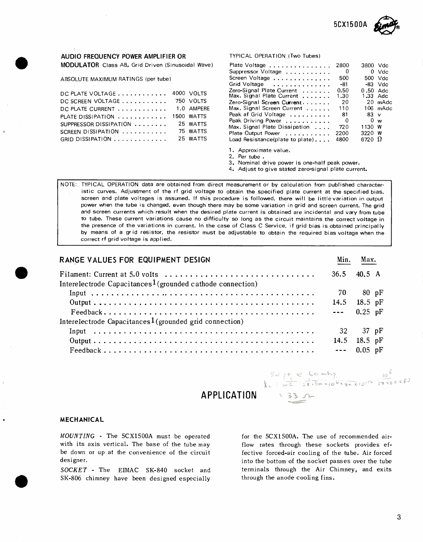

### AUDIO FREQUENCY POWER AMPLIFIER OR TYPICAL OPERATION iTwo Tubes)

MODULATOR Class AB, Grid Driven (Sinusoidal Wave)

| DC PLATE VOLTAGE 4000 VOLTS |            | Zero-Signal Plate Current  0.50<br>Max. Signal Plate Current 1.30 |     | 0.50 A<br>1.33 A |  |
|-----------------------------|------------|-------------------------------------------------------------------|-----|------------------|--|
| DC SCREEN VOLTAGE 750 VOLTS |            | Zero-Signal Screen Current $20$                                   |     | $20 \text{ m}$   |  |
| DC PLATE CURRENT 1.0 AMPERE |            | Max. Signal Screen Current 110                                    |     | $106$ m          |  |
| PLATE DISSIPATION           | 1500 WATTS | Peak af Grid Voltage  81                                          |     | $83 \vee$        |  |
| SUPPRESSOR DISSIPATION      | 25 WATTS   | Peak Driving Power 0                                              |     | 0 w              |  |
| SCREEN DISSIPATION $\ldots$ | 75 WATTS   | Max. Signal Plate Dissipation<br>Plate Output Power  2200         | 720 | 1130 W<br>3220 W |  |
| GRID DISSIPATION            | 25 WATTS   | Load Resistance(plate to plate) 4800                              |     | 6720 $\Omega$    |  |

| <b>MODULATOR</b> Class AB, Grid Driven (Sinusoidal Wave).  |            | Plate Voltage  2800                  |                         | 3800 Vdc      |           |
|------------------------------------------------------------|------------|--------------------------------------|-------------------------|---------------|-----------|
|                                                            |            | Suppressor Voltage                   | $\overline{\mathbf{0}}$ |               | $0$ Vdc   |
| ABSOLUTE MAXIMUM RATINGS (per tube).                       |            | Screen Voltage                       | 500                     |               | 500 Vdc   |
|                                                            |            | Grid Voltage                         | -81                     |               | $-83$ Vdc |
| DC PLATE VOLTAGE $\ldots \ldots \ldots \ldots$ 4000 VOLTS  |            | Zero-Signal Plate Current  0.50      |                         | $0.50$ Adc    |           |
|                                                            |            | Max. Signal Plate Current  1.30      |                         | 1.33 Adc      |           |
| DC SCREEN VOLTAGE $\ldots \ldots \ldots \ldots$            | 750 VOLTS  | Zero-Signal Screen Current $20$      |                         |               | 20 mAdc   |
| $DC$ PLATE $CURRENT$ $\ldots \ldots \ldots \ldots$         | 1.0 AMPERE | Max. Signal Screen Current           | 110                     |               | 106 mAdc  |
| PLATE DISSIPATION $\,\ldots\, \ldots\, \ldots\, \ldots\,$  | 1500 WATTS | Peak af Grid Voltage                 | -81                     | $83 \vee$     |           |
|                                                            |            | Peak Driving Power                   | $\mathbf{0}$            |               | 0 w       |
| SUPPRESSOR DISSIPATION $\, \ldots \, \ldots \, \ldots \,$  | 25 WATTS   | Max. Signal Plate Dissipation        | 720                     | 1130 W        |           |
| SCREEN DISSIPATION $\,\ldots\, \ldots\, \ldots\, \ldots\,$ | 75 WATTS   | Plate Output Power  2200             |                         | 3220 W        |           |
| GRID DISSIPATION                                           | 25 WATTS   | Load Resistance(plate to plate) 4800 |                         | 6720 $\Omega$ |           |
|                                                            |            |                                      |                         |               |           |

1. Approximate value.

2. Per tube .

3. Nominal drive power is one -half peak power.

4. Adjust to give stated zero-signal plate current.

NOTE: TYPICAL OPERATION data are obtained from direct measurement or by calculation from published characteristic curves. Adjustment of the rf grid voltage to obtain the specified plate current at the specified bias, screen and plate voltages is assumed. If this procedure is followed, there will be little variation in output power when the tube is changed, even though there may be some variation in grid and screen current. The grid and screen currents which result when the desired plate current is obtained are incidental and vary from tube to tube. These current variations cause no difficulty so long as the circuit maintains the correct voltage in the presence of the variations in current. In the case of Class C Service, if grid bias is obtained principally by means of a gr id resistor, the resistor must be adjustable to obtain the required bias voltage when the correct rf grid voltage is applied.

| <b>RANGE VALUES FOR EQUIPMENT DESIGN</b>                                                                          | Min.          | Max.         |  |
|-------------------------------------------------------------------------------------------------------------------|---------------|--------------|--|
| Interelectrode Capacitances <sup>1</sup> (grounded cathode connection)                                            | $36.5$ 40.5 A |              |  |
|                                                                                                                   |               | 70 80 pF     |  |
|                                                                                                                   | 14.5 18.5 pF  |              |  |
| $\text{Feedback} \dots \dots \dots \dots \dots \dots \dots \dots \dots \dots \dots \dots \dots \dots \dots \dots$ | $- - 0.25$ pF |              |  |
| Interelectrode Capacitances <sup>1</sup> (grounded grid connection)                                               |               |              |  |
|                                                                                                                   |               | 32 37 pF     |  |
|                                                                                                                   | 14.5 18.5 pF  |              |  |
| $\text{Feedback} \dots \dots \dots \dots \dots \dots \dots \dots \dots \dots \dots \dots \dots \dots \dots$       |               | $--$ 0.05 pF |  |

APPLICATION = 33

 $80$  ft e 60 mhz.<br> $x = \frac{10^6}{2\pi\sqrt{6}}$ 

#### MECHANICAL

MOUNTING - The 5CX1500A must be operated with its axis vertical. The base of the tube may be down or up at the convenience of the circuit designer.

SOCKET - The EIMAC SK-840 socket and SK -806 chimney have been designed especially for the 5CX1500A. The use of recommended airflow rates through these sockets provides effective forced-air cooling of the tube. Air forced into the bottom of the socket passes over the tube terminals through the Air Chimney, and exits through the anode cooling fins.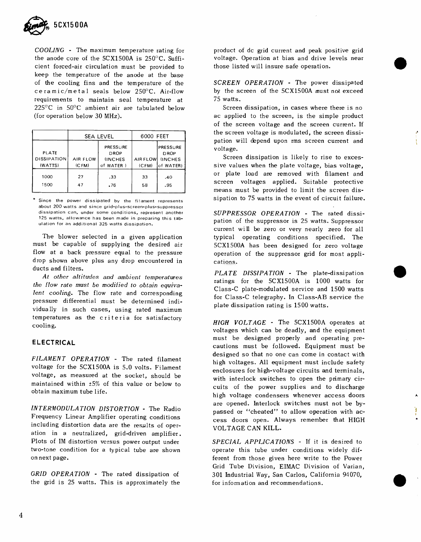

COOLING - The maximum temperature rating for the anode core of the  $5C X1500A$  is  $250^{\circ}$ C. Sufficient forced -air circulation must be provided to keep the temperature of the anode at the base of the cooling fins and the temperature of the ceramic/metal seals below  $250^{\circ}$ C. Air-flow requirements to maintain seal temperature at  $225^{\circ}$ C in  $50^{\circ}$ C ambient air are tabulated below (for operation below 30 MHz).

|                                               |                   | <b>SEA LEVEL</b>                                       | 6000 FEET         |                                                       |
|-----------------------------------------------|-------------------|--------------------------------------------------------|-------------------|-------------------------------------------------------|
| <b>PLATE</b><br><b>DISSIPATION</b><br>(WATTS) | AIR FLOW<br>(CFM) | PRESSURE<br><b>DROP</b><br><b>INCHES</b><br>of WATER ) | AIR FLOW<br>(CFM) | PRESSURE<br><b>DROP</b><br><b>INCHES</b><br>of WATER) |
| 1000<br>1500                                  | 27<br>47          | .33<br>.76                                             | 33<br>58          | .40<br>.95                                            |

Since the power dissipated by the filament represents about 200 watts and since grid-plus-screen-plus-suppressor dissipation can, under some conditions, represent another 125 watts, allowance has been made in preparing this tabulation for an additional 325 watts dissipation.

The blower selected in a given application must be capable of supplying the desired air flow at a back pressure equal to the pressure drop shown above plus any drop encountered in ducts and filters.

At other altitudes and ambient temperatures the flow rate must be modified to obtain equivalent cooling. The flow rate and corresponding pressure differential must be determined individually in such cases, using rated maximum temperatures as the criteria for satisfactory cooling.

### ELECTRICAL

FILAMENT OPERATION - The rated filament voltage for the 5CX1500A is 5.0 volts. Filament voltage, as measured at the socket, should be maintained within ±5% of this value or below to obtain maximum tube life.

INTERMODULATION DISTORTION - The Radio Frequency Linear Amplifier operating conditions including distortion data are the results of operation in a neutralized, grid-driven amplifier. Plots of IM distortion versus power output under two -tone condition for a typical tube are shown on next page.

GRID OPERATION - The rated dissipation of the grid is 25 watts. This is approximately the product of dc grid current and peak positive grid voltage. Operation at bias and drive levels near those listed will insure safe operation.

SCREEN OPERATION - The power dissipated by the screen of the 5CX1500A must not exceed 75 watts.

Screen dissipation, in cases where there is no ac applied to the screen, is the simple product of the screen voltage and the screen current. If the screen voltage is modulated, the screen dissipation will depend upon rms screen current and voltage.

Screen dissipation is likely to rise to excessive values when the plate voltage, bias voltage, or plate load are removed with filament and screen voltages applied. Suitable protective means must be provided to limit the screen dissipation to 75 watts in the event of circuit failure.

SUPPRESSOR OPERATION - The rated dissipation of the suppressor is 25 watts. Suppressor current will be zero or very nearly zero for all typical operating conditions specified. The 5CX1500A has been designed for zero voltage operation of the suppressor grid for most applications.

 $PLATE$   $DISSIPATION$  - The plate-dissipation ratings for the 5CX1500A is 1000 watts for Class-C plate-modulated service and 1500 watts for Class -C telegraphy. In Class -AB service the plate dissipation rating is 1500 watts.

HIGH VOLTAGE - The 5CX1500A operates at voltages which can be deadly, and the equipment must be designed properly and operating precautions must be followed. Equipment must be designed so that no one can come in contact with high voltages. All equipment must include safety enclosures for high-voltage circuits and terminals, with interlock switches to open the primary circuits of the power supplies and to discharge high voltage condensers whenever access doors are opened. Interlock switches must not be bypassed or "cheated" to allow operation with access doors open. Always remember that HIGH VOLTAGE CAN KILL.

SPECIAL APPLICATIONS - If it is desired to operate this tube under conditions widely different from those given here write to the Power Grid Tube Division, EIMAC Division of Varian, 301 Industrial Way, San Carlos, California 94070, for information and recommendations.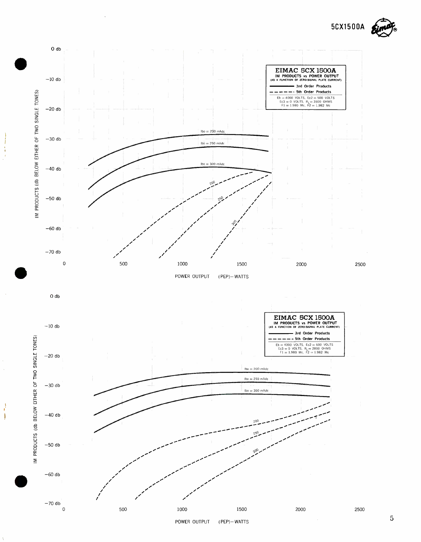

 $\frac{1}{2}$ J.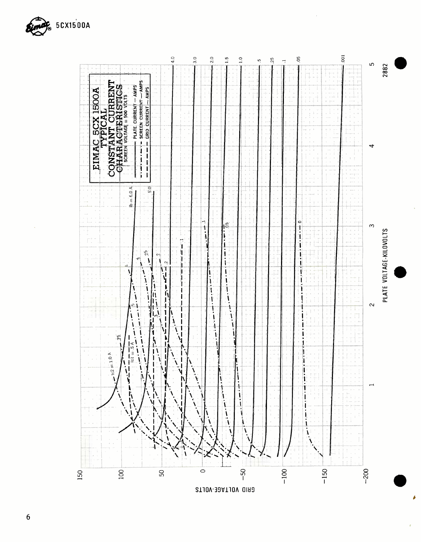



 $\mathbf{\hat{z}}$ 

 $\boldsymbol{6}$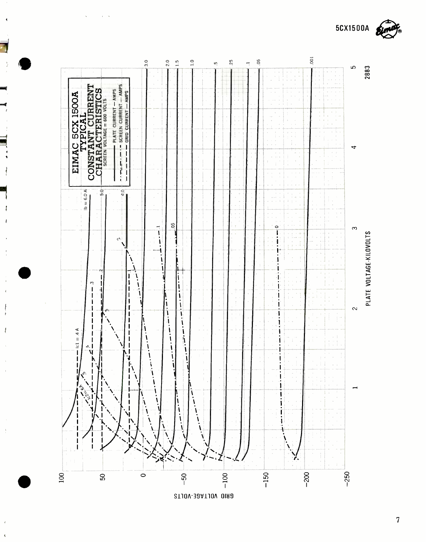